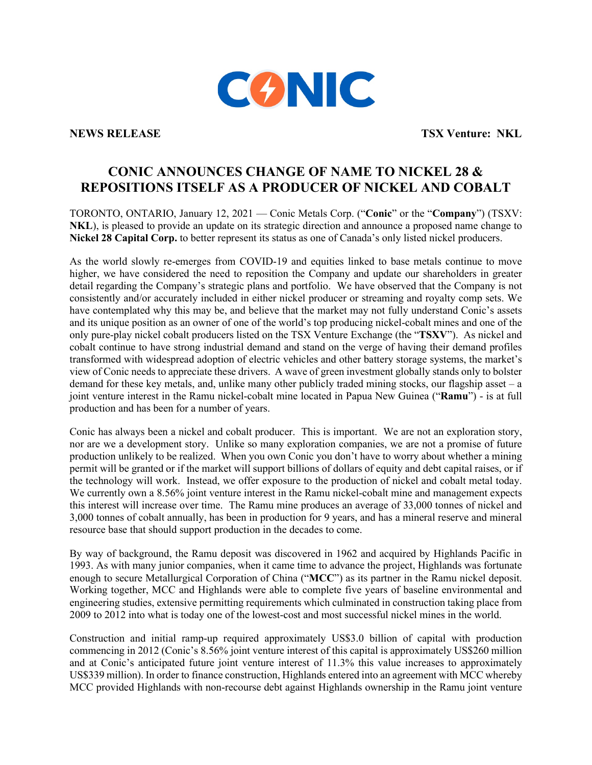

**NEWS RELEASE TSX Venture: NKL** 

# **CONIC ANNOUNCES CHANGE OF NAME TO NICKEL 28 & REPOSITIONS ITSELF AS A PRODUCER OF NICKEL AND COBALT**

TORONTO, ONTARIO, January 12, 2021 — Conic Metals Corp. ("**Conic**" or the "**Company**") (TSXV: **NKL**), is pleased to provide an update on its strategic direction and announce a proposed name change to **Nickel 28 Capital Corp.** to better represent its status as one of Canada's only listed nickel producers.

As the world slowly re-emerges from COVID-19 and equities linked to base metals continue to move higher, we have considered the need to reposition the Company and update our shareholders in greater detail regarding the Company's strategic plans and portfolio. We have observed that the Company is not consistently and/or accurately included in either nickel producer or streaming and royalty comp sets. We have contemplated why this may be, and believe that the market may not fully understand Conic's assets and its unique position as an owner of one of the world's top producing nickel-cobalt mines and one of the only pure-play nickel cobalt producers listed on the TSX Venture Exchange (the "**TSXV**"). As nickel and cobalt continue to have strong industrial demand and stand on the verge of having their demand profiles transformed with widespread adoption of electric vehicles and other battery storage systems, the market's view of Conic needs to appreciate these drivers. A wave of green investment globally stands only to bolster demand for these key metals, and, unlike many other publicly traded mining stocks, our flagship asset – a joint venture interest in the Ramu nickel-cobalt mine located in Papua New Guinea ("**Ramu**") - is at full production and has been for a number of years.

Conic has always been a nickel and cobalt producer. This is important. We are not an exploration story, nor are we a development story. Unlike so many exploration companies, we are not a promise of future production unlikely to be realized. When you own Conic you don't have to worry about whether a mining permit will be granted or if the market will support billions of dollars of equity and debt capital raises, or if the technology will work. Instead, we offer exposure to the production of nickel and cobalt metal today. We currently own a 8.56% joint venture interest in the Ramu nickel-cobalt mine and management expects this interest will increase over time. The Ramu mine produces an average of 33,000 tonnes of nickel and 3,000 tonnes of cobalt annually, has been in production for 9 years, and has a mineral reserve and mineral resource base that should support production in the decades to come.

By way of background, the Ramu deposit was discovered in 1962 and acquired by Highlands Pacific in 1993. As with many junior companies, when it came time to advance the project, Highlands was fortunate enough to secure Metallurgical Corporation of China ("**MCC**") as its partner in the Ramu nickel deposit. Working together, MCC and Highlands were able to complete five years of baseline environmental and engineering studies, extensive permitting requirements which culminated in construction taking place from 2009 to 2012 into what is today one of the lowest-cost and most successful nickel mines in the world.

Construction and initial ramp-up required approximately US\$3.0 billion of capital with production commencing in 2012 (Conic's 8.56% joint venture interest of this capital is approximately US\$260 million and at Conic's anticipated future joint venture interest of 11.3% this value increases to approximately US\$339 million). In order to finance construction, Highlands entered into an agreement with MCC whereby MCC provided Highlands with non-recourse debt against Highlands ownership in the Ramu joint venture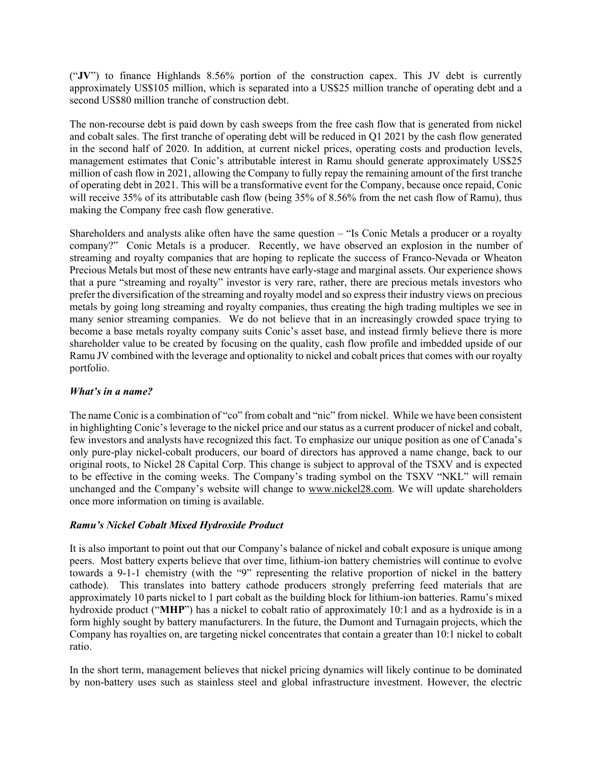("**JV**") to finance Highlands 8.56% portion of the construction capex. This JV debt is currently approximately US\$105 million, which is separated into a US\$25 million tranche of operating debt and a second US\$80 million tranche of construction debt.

The non-recourse debt is paid down by cash sweeps from the free cash flow that is generated from nickel and cobalt sales. The first tranche of operating debt will be reduced in Q1 2021 by the cash flow generated in the second half of 2020. In addition, at current nickel prices, operating costs and production levels, management estimates that Conic's attributable interest in Ramu should generate approximately US\$25 million of cash flow in 2021, allowing the Company to fully repay the remaining amount of the first tranche of operating debt in 2021. This will be a transformative event for the Company, because once repaid, Conic will receive 35% of its attributable cash flow (being 35% of 8.56% from the net cash flow of Ramu), thus making the Company free cash flow generative.

Shareholders and analysts alike often have the same question – "Is Conic Metals a producer or a royalty company?" Conic Metals is a producer. Recently, we have observed an explosion in the number of streaming and royalty companies that are hoping to replicate the success of Franco-Nevada or Wheaton Precious Metals but most of these new entrants have early-stage and marginal assets. Our experience shows that a pure "streaming and royalty" investor is very rare, rather, there are precious metals investors who prefer the diversification of the streaming and royalty model and so express their industry views on precious metals by going long streaming and royalty companies, thus creating the high trading multiples we see in many senior streaming companies. We do not believe that in an increasingly crowded space trying to become a base metals royalty company suits Conic's asset base, and instead firmly believe there is more shareholder value to be created by focusing on the quality, cash flow profile and imbedded upside of our Ramu JV combined with the leverage and optionality to nickel and cobalt prices that comes with our royalty portfolio.

## *What's in a name?*

The name Conic is a combination of "co" from cobalt and "nic" from nickel. While we have been consistent in highlighting Conic's leverage to the nickel price and our status as a current producer of nickel and cobalt, few investors and analysts have recognized this fact. To emphasize our unique position as one of Canada's only pure-play nickel-cobalt producers, our board of directors has approved a name change, back to our original roots, to Nickel 28 Capital Corp. This change is subject to approval of the TSXV and is expected to be effective in the coming weeks. The Company's trading symbol on the TSXV "NKL" will remain unchanged and the Company's website will change to www.nickel28.com. We will update shareholders once more information on timing is available.

# *Ramu's Nickel Cobalt Mixed Hydroxide Product*

It is also important to point out that our Company's balance of nickel and cobalt exposure is unique among peers. Most battery experts believe that over time, lithium-ion battery chemistries will continue to evolve towards a 9-1-1 chemistry (with the "9" representing the relative proportion of nickel in the battery cathode). This translates into battery cathode producers strongly preferring feed materials that are approximately 10 parts nickel to 1 part cobalt as the building block for lithium-ion batteries. Ramu's mixed hydroxide product ("**MHP**") has a nickel to cobalt ratio of approximately 10:1 and as a hydroxide is in a form highly sought by battery manufacturers. In the future, the Dumont and Turnagain projects, which the Company has royalties on, are targeting nickel concentrates that contain a greater than 10:1 nickel to cobalt ratio.

In the short term, management believes that nickel pricing dynamics will likely continue to be dominated by non-battery uses such as stainless steel and global infrastructure investment. However, the electric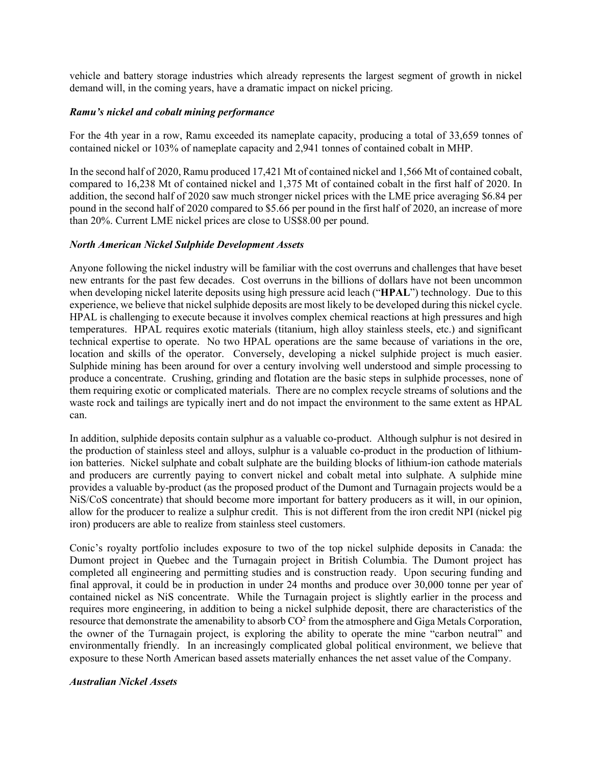vehicle and battery storage industries which already represents the largest segment of growth in nickel demand will, in the coming years, have a dramatic impact on nickel pricing.

#### *Ramu's nickel and cobalt mining performance*

For the 4th year in a row, Ramu exceeded its nameplate capacity, producing a total of 33,659 tonnes of contained nickel or 103% of nameplate capacity and 2,941 tonnes of contained cobalt in MHP.

In the second half of 2020, Ramu produced 17,421 Mt of contained nickel and 1,566 Mt of contained cobalt, compared to 16,238 Mt of contained nickel and 1,375 Mt of contained cobalt in the first half of 2020. In addition, the second half of 2020 saw much stronger nickel prices with the LME price averaging \$6.84 per pound in the second half of 2020 compared to \$5.66 per pound in the first half of 2020, an increase of more than 20%. Current LME nickel prices are close to US\$8.00 per pound.

#### *North American Nickel Sulphide Development Assets*

Anyone following the nickel industry will be familiar with the cost overruns and challenges that have beset new entrants for the past few decades. Cost overruns in the billions of dollars have not been uncommon when developing nickel laterite deposits using high pressure acid leach ("**HPAL**") technology. Due to this experience, we believe that nickel sulphide deposits are most likely to be developed during this nickel cycle. HPAL is challenging to execute because it involves complex chemical reactions at high pressures and high temperatures. HPAL requires exotic materials (titanium, high alloy stainless steels, etc.) and significant technical expertise to operate. No two HPAL operations are the same because of variations in the ore, location and skills of the operator. Conversely, developing a nickel sulphide project is much easier. Sulphide mining has been around for over a century involving well understood and simple processing to produce a concentrate. Crushing, grinding and flotation are the basic steps in sulphide processes, none of them requiring exotic or complicated materials. There are no complex recycle streams of solutions and the waste rock and tailings are typically inert and do not impact the environment to the same extent as HPAL can.

In addition, sulphide deposits contain sulphur as a valuable co-product. Although sulphur is not desired in the production of stainless steel and alloys, sulphur is a valuable co-product in the production of lithiumion batteries. Nickel sulphate and cobalt sulphate are the building blocks of lithium-ion cathode materials and producers are currently paying to convert nickel and cobalt metal into sulphate. A sulphide mine provides a valuable by-product (as the proposed product of the Dumont and Turnagain projects would be a NiS/CoS concentrate) that should become more important for battery producers as it will, in our opinion, allow for the producer to realize a sulphur credit. This is not different from the iron credit NPI (nickel pig iron) producers are able to realize from stainless steel customers.

Conic's royalty portfolio includes exposure to two of the top nickel sulphide deposits in Canada: the Dumont project in Quebec and the Turnagain project in British Columbia. The Dumont project has completed all engineering and permitting studies and is construction ready. Upon securing funding and final approval, it could be in production in under 24 months and produce over 30,000 tonne per year of contained nickel as NiS concentrate. While the Turnagain project is slightly earlier in the process and requires more engineering, in addition to being a nickel sulphide deposit, there are characteristics of the resource that demonstrate the amenability to absorb  $CO<sup>2</sup>$  from the atmosphere and Giga Metals Corporation, the owner of the Turnagain project, is exploring the ability to operate the mine "carbon neutral" and environmentally friendly. In an increasingly complicated global political environment, we believe that exposure to these North American based assets materially enhances the net asset value of the Company.

#### *Australian Nickel Assets*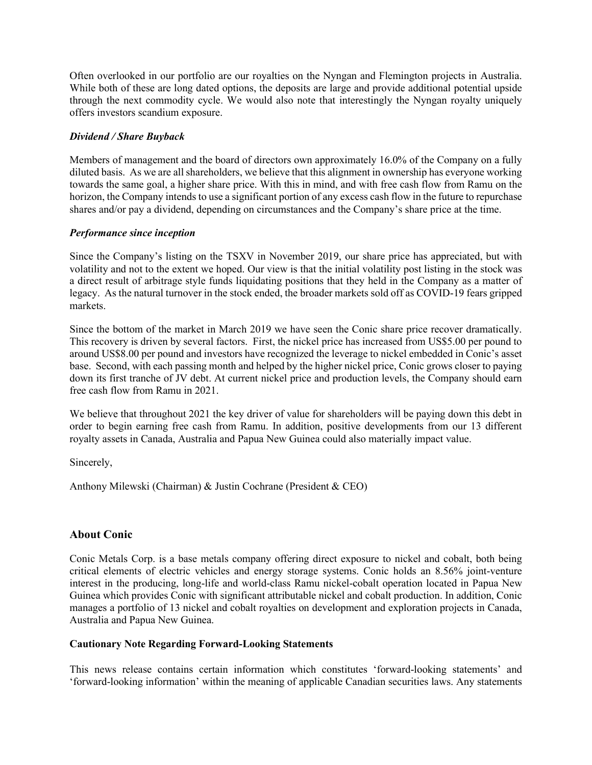Often overlooked in our portfolio are our royalties on the Nyngan and Flemington projects in Australia. While both of these are long dated options, the deposits are large and provide additional potential upside through the next commodity cycle. We would also note that interestingly the Nyngan royalty uniquely offers investors scandium exposure.

## *Dividend / Share Buyback*

Members of management and the board of directors own approximately 16.0% of the Company on a fully diluted basis. As we are all shareholders, we believe that this alignment in ownership has everyone working towards the same goal, a higher share price. With this in mind, and with free cash flow from Ramu on the horizon, the Company intends to use a significant portion of any excess cash flow in the future to repurchase shares and/or pay a dividend, depending on circumstances and the Company's share price at the time.

## *Performance since inception*

Since the Company's listing on the TSXV in November 2019, our share price has appreciated, but with volatility and not to the extent we hoped. Our view is that the initial volatility post listing in the stock was a direct result of arbitrage style funds liquidating positions that they held in the Company as a matter of legacy. As the natural turnover in the stock ended, the broader markets sold off as COVID-19 fears gripped markets.

Since the bottom of the market in March 2019 we have seen the Conic share price recover dramatically. This recovery is driven by several factors. First, the nickel price has increased from US\$5.00 per pound to around US\$8.00 per pound and investors have recognized the leverage to nickel embedded in Conic's asset base. Second, with each passing month and helped by the higher nickel price, Conic grows closer to paying down its first tranche of JV debt. At current nickel price and production levels, the Company should earn free cash flow from Ramu in 2021.

We believe that throughout 2021 the key driver of value for shareholders will be paying down this debt in order to begin earning free cash from Ramu. In addition, positive developments from our 13 different royalty assets in Canada, Australia and Papua New Guinea could also materially impact value.

Sincerely,

Anthony Milewski (Chairman) & Justin Cochrane (President & CEO)

# **About Conic**

Conic Metals Corp. is a base metals company offering direct exposure to nickel and cobalt, both being critical elements of electric vehicles and energy storage systems. Conic holds an 8.56% joint-venture interest in the producing, long-life and world-class Ramu nickel-cobalt operation located in Papua New Guinea which provides Conic with significant attributable nickel and cobalt production. In addition, Conic manages a portfolio of 13 nickel and cobalt royalties on development and exploration projects in Canada, Australia and Papua New Guinea.

## **Cautionary Note Regarding Forward-Looking Statements**

This news release contains certain information which constitutes 'forward-looking statements' and 'forward-looking information' within the meaning of applicable Canadian securities laws. Any statements